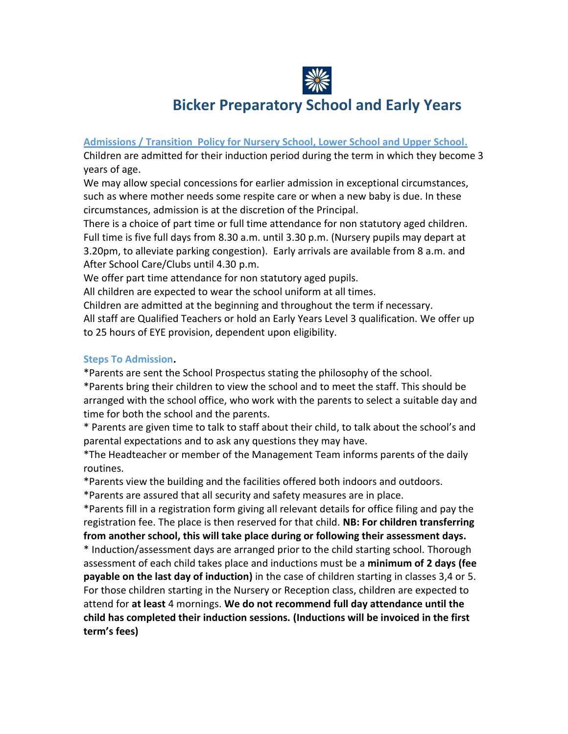

# **Bicker Preparatory School and Early Years**

#### **Admissions / Transition Policy for Nursery School, Lower School and Upper School.**

Children are admitted for their induction period during the term in which they become 3 years of age.

We may allow special concessions for earlier admission in exceptional circumstances, such as where mother needs some respite care or when a new baby is due. In these circumstances, admission is at the discretion of the Principal.

There is a choice of part time or full time attendance for non statutory aged children. Full time is five full days from 8.30 a.m. until 3.30 p.m. (Nursery pupils may depart at 3.20pm, to alleviate parking congestion). Early arrivals are available from 8 a.m. and After School Care/Clubs until 4.30 p.m.

We offer part time attendance for non statutory aged pupils.

All children are expected to wear the school uniform at all times.

Children are admitted at the beginning and throughout the term if necessary.

All staff are Qualified Teachers or hold an Early Years Level 3 qualification. We offer up to 25 hours of EYE provision, dependent upon eligibility.

### **Steps To Admission.**

\*Parents are sent the School Prospectus stating the philosophy of the school.

\*Parents bring their children to view the school and to meet the staff. This should be arranged with the school office, who work with the parents to select a suitable day and time for both the school and the parents.

\* Parents are given time to talk to staff about their child, to talk about the school's and parental expectations and to ask any questions they may have.

\*The Headteacher or member of the Management Team informs parents of the daily routines.

\*Parents view the building and the facilities offered both indoors and outdoors.

\*Parents are assured that all security and safety measures are in place.

\*Parents fill in a registration form giving all relevant details for office filing and pay the registration fee. The place is then reserved for that child. **NB: For children transferring from another school, this will take place during or following their assessment days.**

\* Induction/assessment days are arranged prior to the child starting school. Thorough assessment of each child takes place and inductions must be a **minimum of 2 days (fee payable on the last day of induction)** in the case of children starting in classes 3,4 or 5. For those children starting in the Nursery or Reception class, children are expected to attend for **at least** 4 mornings. **We do not recommend full day attendance until the child has completed their induction sessions. (Inductions will be invoiced in the first term's fees)**